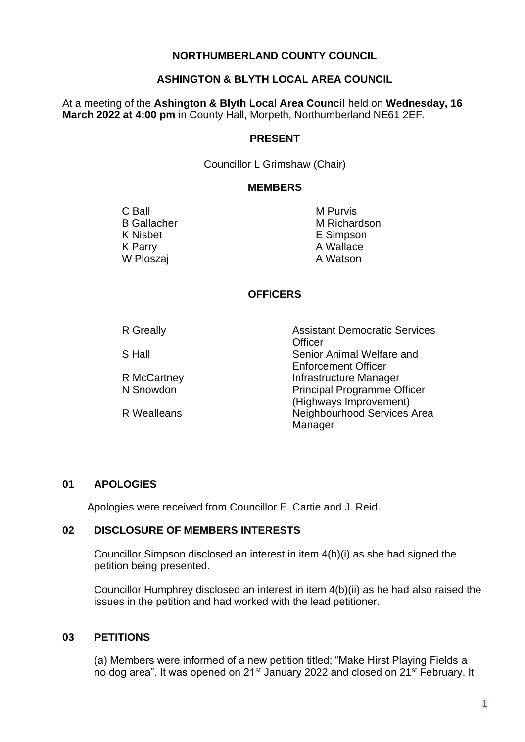### **NORTHUMBERLAND COUNTY COUNCIL**

### **ASHINGTON & BLYTH LOCAL AREA COUNCIL**

At a meeting of the **Ashington & Blyth Local Area Council** held on **Wednesday, 16 March 2022 at 4:00 pm** in County Hall, Morpeth, Northumberland NE61 2EF.

#### **PRESENT**

Councillor L Grimshaw (Chair)

#### **MEMBERS**

C Ball B Gallacher K Nisbet K Parry W Ploszaj

M Purvis M Richardson E Simpson A Wallace A Watson

## **OFFICERS**

| <b>R</b> Greally   | <b>Assistant Democratic Services</b><br>Officer |
|--------------------|-------------------------------------------------|
| S Hall             | Senior Animal Welfare and                       |
|                    | <b>Enforcement Officer</b>                      |
| R McCartney        | Infrastructure Manager                          |
| N Snowdon          | <b>Principal Programme Officer</b>              |
|                    | (Highways Improvement)                          |
| <b>R</b> Wealleans | Neighbourhood Services Area                     |
|                    | Manager                                         |

### **01 APOLOGIES**

Apologies were received from Councillor E. Cartie and J. Reid.

### **02 DISCLOSURE OF MEMBERS INTERESTS**

Councillor Simpson disclosed an interest in item 4(b)(i) as she had signed the petition being presented.

Councillor Humphrey disclosed an interest in item 4(b)(ii) as he had also raised the issues in the petition and had worked with the lead petitioner.

### **03 PETITIONS**

(a) Members were informed of a new petition titled; "Make Hirst Playing Fields a no dog area". It was opened on 21st January 2022 and closed on 21st February. It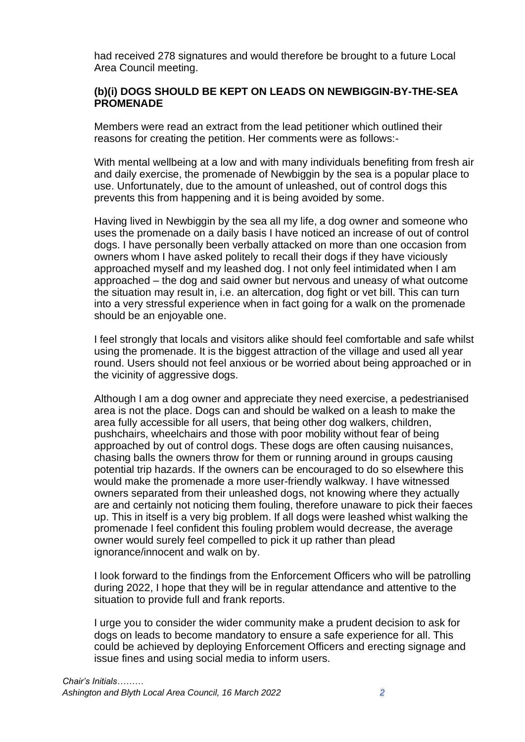had received 278 signatures and would therefore be brought to a future Local Area Council meeting.

### **(b)(i) DOGS SHOULD BE KEPT ON LEADS ON NEWBIGGIN-BY-THE-SEA PROMENADE**

Members were read an extract from the lead petitioner which outlined their reasons for creating the petition. Her comments were as follows:-

With mental wellbeing at a low and with many individuals benefiting from fresh air and daily exercise, the promenade of Newbiggin by the sea is a popular place to use. Unfortunately, due to the amount of unleashed, out of control dogs this prevents this from happening and it is being avoided by some.

Having lived in Newbiggin by the sea all my life, a dog owner and someone who uses the promenade on a daily basis I have noticed an increase of out of control dogs. I have personally been verbally attacked on more than one occasion from owners whom I have asked politely to recall their dogs if they have viciously approached myself and my leashed dog. I not only feel intimidated when I am approached – the dog and said owner but nervous and uneasy of what outcome the situation may result in, i.e. an altercation, dog fight or vet bill. This can turn into a very stressful experience when in fact going for a walk on the promenade should be an enjoyable one.

I feel strongly that locals and visitors alike should feel comfortable and safe whilst using the promenade. It is the biggest attraction of the village and used all year round. Users should not feel anxious or be worried about being approached or in the vicinity of aggressive dogs.

Although I am a dog owner and appreciate they need exercise, a pedestrianised area is not the place. Dogs can and should be walked on a leash to make the area fully accessible for all users, that being other dog walkers, children, pushchairs, wheelchairs and those with poor mobility without fear of being approached by out of control dogs. These dogs are often causing nuisances, chasing balls the owners throw for them or running around in groups causing potential trip hazards. If the owners can be encouraged to do so elsewhere this would make the promenade a more user-friendly walkway. I have witnessed owners separated from their unleashed dogs, not knowing where they actually are and certainly not noticing them fouling, therefore unaware to pick their faeces up. This in itself is a very big problem. If all dogs were leashed whist walking the promenade I feel confident this fouling problem would decrease, the average owner would surely feel compelled to pick it up rather than plead ignorance/innocent and walk on by.

I look forward to the findings from the Enforcement Officers who will be patrolling during 2022, I hope that they will be in regular attendance and attentive to the situation to provide full and frank reports.

I urge you to consider the wider community make a prudent decision to ask for dogs on leads to become mandatory to ensure a safe experience for all. This could be achieved by deploying Enforcement Officers and erecting signage and issue fines and using social media to inform users.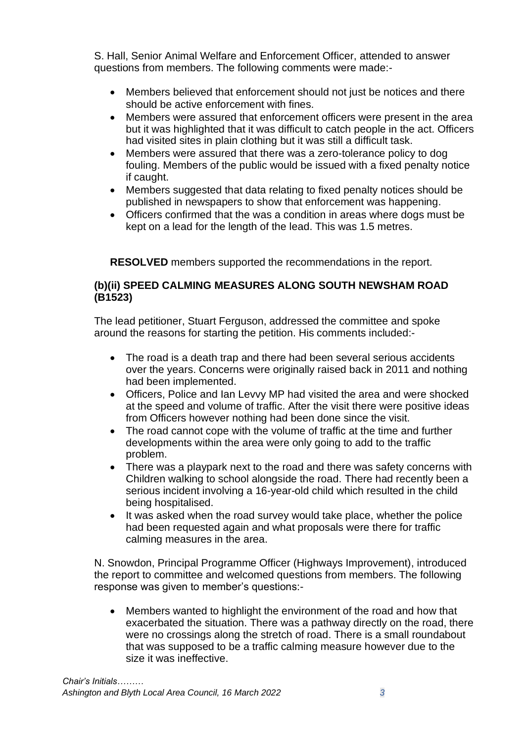S. Hall, Senior Animal Welfare and Enforcement Officer, attended to answer questions from members. The following comments were made:-

- Members believed that enforcement should not just be notices and there should be active enforcement with fines.
- Members were assured that enforcement officers were present in the area but it was highlighted that it was difficult to catch people in the act. Officers had visited sites in plain clothing but it was still a difficult task.
- Members were assured that there was a zero-tolerance policy to dog fouling. Members of the public would be issued with a fixed penalty notice if caught.
- Members suggested that data relating to fixed penalty notices should be published in newspapers to show that enforcement was happening.
- Officers confirmed that the was a condition in areas where dogs must be kept on a lead for the length of the lead. This was 1.5 metres.

**RESOLVED** members supported the recommendations in the report.

### **(b)(ii) SPEED CALMING MEASURES ALONG SOUTH NEWSHAM ROAD (B1523)**

The lead petitioner, Stuart Ferguson, addressed the committee and spoke around the reasons for starting the petition. His comments included:-

- The road is a death trap and there had been several serious accidents over the years. Concerns were originally raised back in 2011 and nothing had been implemented.
- Officers, Police and Ian Levvy MP had visited the area and were shocked at the speed and volume of traffic. After the visit there were positive ideas from Officers however nothing had been done since the visit.
- The road cannot cope with the volume of traffic at the time and further developments within the area were only going to add to the traffic problem.
- There was a playpark next to the road and there was safety concerns with Children walking to school alongside the road. There had recently been a serious incident involving a 16-year-old child which resulted in the child being hospitalised.
- It was asked when the road survey would take place, whether the police had been requested again and what proposals were there for traffic calming measures in the area.

N. Snowdon, Principal Programme Officer (Highways Improvement), introduced the report to committee and welcomed questions from members. The following response was given to member's questions:-

• Members wanted to highlight the environment of the road and how that exacerbated the situation. There was a pathway directly on the road, there were no crossings along the stretch of road. There is a small roundabout that was supposed to be a traffic calming measure however due to the size it was ineffective.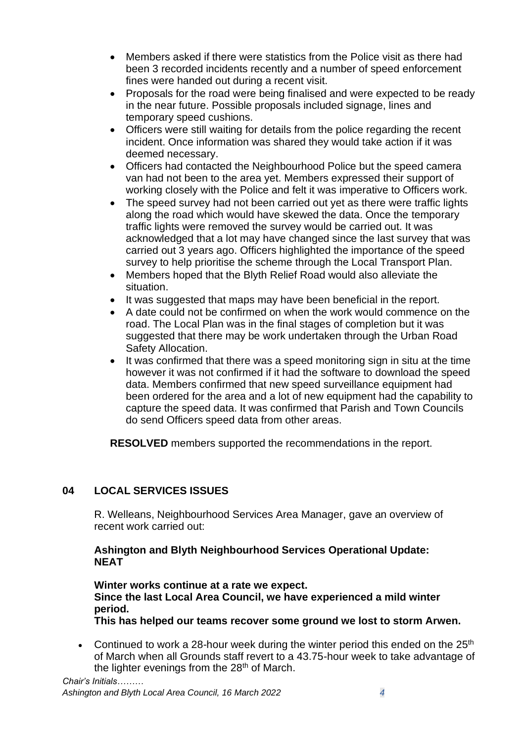- Members asked if there were statistics from the Police visit as there had been 3 recorded incidents recently and a number of speed enforcement fines were handed out during a recent visit.
- Proposals for the road were being finalised and were expected to be ready in the near future. Possible proposals included signage, lines and temporary speed cushions.
- Officers were still waiting for details from the police regarding the recent incident. Once information was shared they would take action if it was deemed necessary.
- Officers had contacted the Neighbourhood Police but the speed camera van had not been to the area yet. Members expressed their support of working closely with the Police and felt it was imperative to Officers work.
- The speed survey had not been carried out yet as there were traffic lights along the road which would have skewed the data. Once the temporary traffic lights were removed the survey would be carried out. It was acknowledged that a lot may have changed since the last survey that was carried out 3 years ago. Officers highlighted the importance of the speed survey to help prioritise the scheme through the Local Transport Plan.
- Members hoped that the Blyth Relief Road would also alleviate the situation.
- It was suggested that maps may have been beneficial in the report.
- A date could not be confirmed on when the work would commence on the road. The Local Plan was in the final stages of completion but it was suggested that there may be work undertaken through the Urban Road Safety Allocation.
- It was confirmed that there was a speed monitoring sign in situ at the time however it was not confirmed if it had the software to download the speed data. Members confirmed that new speed surveillance equipment had been ordered for the area and a lot of new equipment had the capability to capture the speed data. It was confirmed that Parish and Town Councils do send Officers speed data from other areas.

**RESOLVED** members supported the recommendations in the report.

## **04 LOCAL SERVICES ISSUES**

R. Welleans, Neighbourhood Services Area Manager, gave an overview of recent work carried out:

### **Ashington and Blyth Neighbourhood Services Operational Update: NEAT**

**Winter works continue at a rate we expect. Since the last Local Area Council, we have experienced a mild winter period.**

- **This has helped our teams recover some ground we lost to storm Arwen.**
- Continued to work a 28-hour week during the winter period this ended on the  $25<sup>th</sup>$ of March when all Grounds staff revert to a 43.75-hour week to take advantage of the lighter evenings from the  $28<sup>th</sup>$  of March.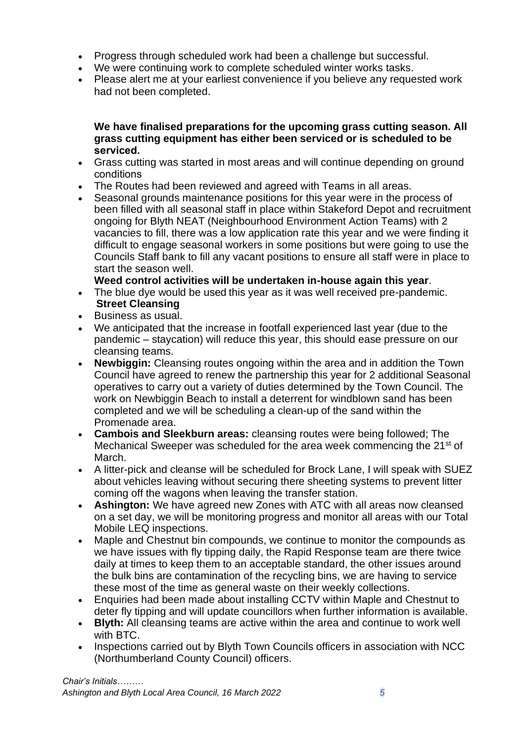- Progress through scheduled work had been a challenge but successful.
- We were continuing work to complete scheduled winter works tasks.
- Please alert me at your earliest convenience if you believe any requested work had not been completed.

### **We have finalised preparations for the upcoming grass cutting season. All grass cutting equipment has either been serviced or is scheduled to be serviced.**

- Grass cutting was started in most areas and will continue depending on ground conditions
- The Routes had been reviewed and agreed with Teams in all areas.
- Seasonal grounds maintenance positions for this year were in the process of been filled with all seasonal staff in place within Stakeford Depot and recruitment ongoing for Blyth NEAT (Neighbourhood Environment Action Teams) with 2 vacancies to fill, there was a low application rate this year and we were finding it difficult to engage seasonal workers in some positions but were going to use the Councils Staff bank to fill any vacant positions to ensure all staff were in place to start the season well.

**Weed control activities will be undertaken in-house again this year**. 

- The blue dye would be used this year as it was well received pre-pandemic. **Street Cleansing**
- Business as usual.
- We anticipated that the increase in footfall experienced last year (due to the pandemic – staycation) will reduce this year, this should ease pressure on our cleansing teams.
- **Newbiggin:** Cleansing routes ongoing within the area and in addition the Town Council have agreed to renew the partnership this year for 2 additional Seasonal operatives to carry out a variety of duties determined by the Town Council. The work on Newbiggin Beach to install a deterrent for windblown sand has been completed and we will be scheduling a clean-up of the sand within the Promenade area.
- **Cambois and Sleekburn areas:** cleansing routes were being followed; The Mechanical Sweeper was scheduled for the area week commencing the 21<sup>st</sup> of March.
- A litter-pick and cleanse will be scheduled for Brock Lane, I will speak with SUEZ about vehicles leaving without securing there sheeting systems to prevent litter coming off the wagons when leaving the transfer station.
- **Ashington:** We have agreed new Zones with ATC with all areas now cleansed on a set day, we will be monitoring progress and monitor all areas with our Total Mobile LEQ inspections.
- Maple and Chestnut bin compounds, we continue to monitor the compounds as we have issues with fly tipping daily, the Rapid Response team are there twice daily at times to keep them to an acceptable standard, the other issues around the bulk bins are contamination of the recycling bins, we are having to service these most of the time as general waste on their weekly collections.
- Enquiries had been made about installing CCTV within Maple and Chestnut to deter fly tipping and will update councillors when further information is available.
- **Blyth:** All cleansing teams are active within the area and continue to work well with BTC.
- Inspections carried out by Blyth Town Councils officers in association with NCC (Northumberland County Council) officers.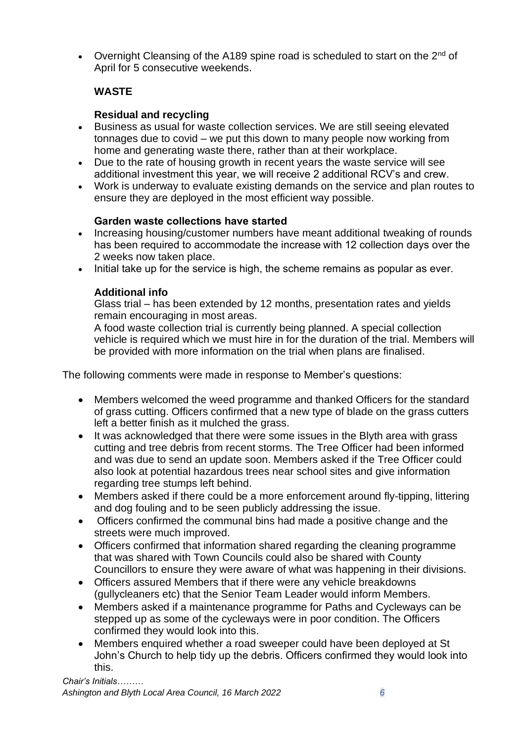• Overnight Cleansing of the A189 spine road is scheduled to start on the  $2^{nd}$  of April for 5 consecutive weekends.

# **WASTE**

# **Residual and recycling**

- Business as usual for waste collection services. We are still seeing elevated tonnages due to covid – we put this down to many people now working from home and generating waste there, rather than at their workplace.
- Due to the rate of housing growth in recent years the waste service will see additional investment this year, we will receive 2 additional RCV's and crew.
- Work is underway to evaluate existing demands on the service and plan routes to ensure they are deployed in the most efficient way possible.

## **Garden waste collections have started**

- Increasing housing/customer numbers have meant additional tweaking of rounds has been required to accommodate the increase with 12 collection days over the 2 weeks now taken place.
- Initial take up for the service is high, the scheme remains as popular as ever.

## **Additional info**

Glass trial – has been extended by 12 months, presentation rates and yields remain encouraging in most areas.

A food waste collection trial is currently being planned. A special collection vehicle is required which we must hire in for the duration of the trial. Members will be provided with more information on the trial when plans are finalised.

The following comments were made in response to Member's questions:

- Members welcomed the weed programme and thanked Officers for the standard of grass cutting. Officers confirmed that a new type of blade on the grass cutters left a better finish as it mulched the grass.
- It was acknowledged that there were some issues in the Blyth area with grass cutting and tree debris from recent storms. The Tree Officer had been informed and was due to send an update soon. Members asked if the Tree Officer could also look at potential hazardous trees near school sites and give information regarding tree stumps left behind.
- Members asked if there could be a more enforcement around fly-tipping, littering and dog fouling and to be seen publicly addressing the issue.
- Officers confirmed the communal bins had made a positive change and the streets were much improved.
- Officers confirmed that information shared regarding the cleaning programme that was shared with Town Councils could also be shared with County Councillors to ensure they were aware of what was happening in their divisions.
- Officers assured Members that if there were any vehicle breakdowns (gullycleaners etc) that the Senior Team Leader would inform Members.
- Members asked if a maintenance programme for Paths and Cycleways can be stepped up as some of the cycleways were in poor condition. The Officers confirmed they would look into this.
- Members enquired whether a road sweeper could have been deployed at St John's Church to help tidy up the debris. Officers confirmed they would look into this.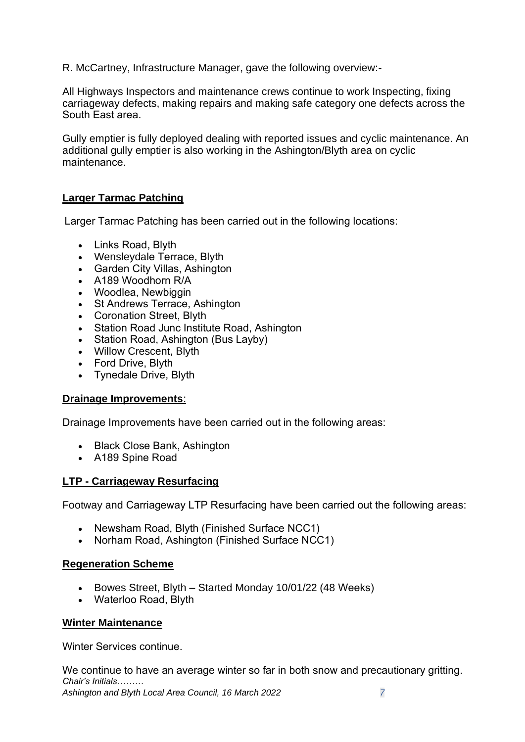R. McCartney, Infrastructure Manager, gave the following overview:-

All Highways Inspectors and maintenance crews continue to work Inspecting, fixing carriageway defects, making repairs and making safe category one defects across the South East area.  

Gully emptier is fully deployed dealing with reported issues and cyclic maintenance. An additional gully emptier is also working in the Ashington/Blyth area on cyclic maintenance. 

## **Larger Tarmac Patching**

Larger Tarmac Patching has been carried out in the following locations: 

- Links Road, Blyth
- Wensleydale Terrace, Blyth
- Garden City Villas, Ashington
- A189 Woodhorn R/A
- Woodlea, Newbiggin
- St Andrews Terrace, Ashington
- Coronation Street, Blyth
- Station Road Junc Institute Road, Ashington
- Station Road, Ashington (Bus Layby)
- Willow Crescent, Blyth
- Ford Drive, Blyth
- Tynedale Drive, Blyth

### **Drainage Improvements**:

Drainage Improvements have been carried out in the following areas: 

- Black Close Bank, Ashington
- A189 Spine Road

### **LTP - Carriageway Resurfacing**

Footway and Carriageway LTP Resurfacing have been carried out the following areas: 

- Newsham Road, Blyth (Finished Surface NCC1)
- Norham Road, Ashington (Finished Surface NCC1)

### **Regeneration Scheme**

- Bowes Street, Blyth Started Monday 10/01/22 (48 Weeks)
- Waterloo Road, Blyth

### **Winter Maintenance**

Winter Services continue.  

*Chair's Initials……… Ashington and Blyth Local Area Council, 16 March 2022 7* We continue to have an average winter so far in both snow and precautionary gritting.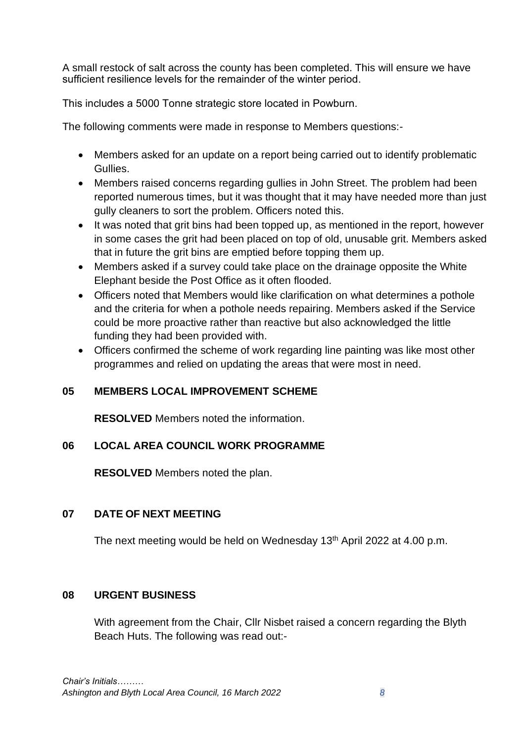A small restock of salt across the county has been completed. This will ensure we have sufficient resilience levels for the remainder of the winter period.  

This includes a 5000 Tonne strategic store located in Powburn. 

The following comments were made in response to Members questions:-

- Members asked for an update on a report being carried out to identify problematic Gullies.
- Members raised concerns regarding gullies in John Street. The problem had been reported numerous times, but it was thought that it may have needed more than just gully cleaners to sort the problem. Officers noted this.
- It was noted that grit bins had been topped up, as mentioned in the report, however in some cases the grit had been placed on top of old, unusable grit. Members asked that in future the grit bins are emptied before topping them up.
- Members asked if a survey could take place on the drainage opposite the White Elephant beside the Post Office as it often flooded.
- Officers noted that Members would like clarification on what determines a pothole and the criteria for when a pothole needs repairing. Members asked if the Service could be more proactive rather than reactive but also acknowledged the little funding they had been provided with.
- Officers confirmed the scheme of work regarding line painting was like most other programmes and relied on updating the areas that were most in need.

# **05 MEMBERS LOCAL IMPROVEMENT SCHEME**

**RESOLVED** Members noted the information.

# **06 LOCAL AREA COUNCIL WORK PROGRAMME**

**RESOLVED** Members noted the plan.

# **07 DATE OF NEXT MEETING**

The next meeting would be held on Wednesday 13<sup>th</sup> April 2022 at 4.00 p.m.

## **08 URGENT BUSINESS**

With agreement from the Chair, Cllr Nisbet raised a concern regarding the Blyth Beach Huts. The following was read out:-